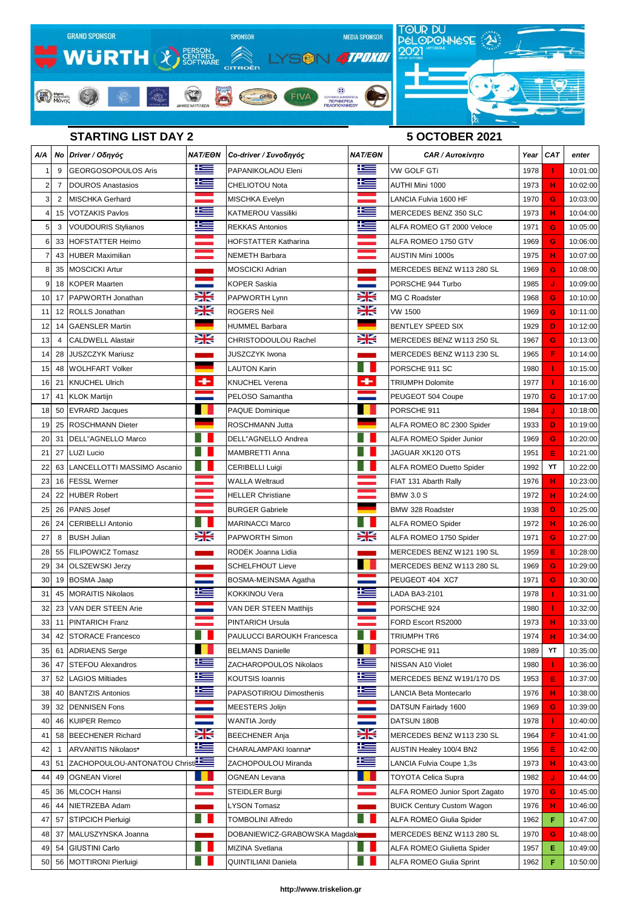

## **STARTING LIST DAY 2 5 OCTOBER 2021**

| A/A            |                | Νο Driver / Οδηγός            | <b>NAT/EON</b> | Co-driver / Συνοδηγός         | <b>NAT/EON</b> | CAR / Autokívnto                   | Year | <b>CAT</b> | enter    |
|----------------|----------------|-------------------------------|----------------|-------------------------------|----------------|------------------------------------|------|------------|----------|
|                | 9              | GEORGOSOPOULOS Aris           | <u>is </u>     | PAPANIKOLAOU Eleni            |                | VW GOLF GTi                        | 1978 |            | 10:01:00 |
| $\overline{2}$ | $\overline{7}$ | DOUROS Anastasios             | £              | CHELIOTOU Nota                | æ              | AUTHI Mini 1000                    | 1973 | н          | 10:02:00 |
| 3              | 2              | <b>MISCHKA Gerhard</b>        |                | <b>MISCHKA Evelyn</b>         |                | LANCIA Fulvia 1600 HF              | 1970 | G          | 10:03:00 |
| 4              |                | 15 VOTZAKIS Pavlos            | Ñ              | KATMEROU Vassiliki            | ĥ              | MERCEDES BENZ 350 SLC              | 1973 | н          | 10:04:00 |
| 5              | 3              | <b>VOUDOURIS Stylianos</b>    | 医              | <b>REKKAS Antonios</b>        | Ħ              | ALFA ROMEO GT 2000 Veloce          | 1971 | G          | 10:05:00 |
| 6              | 33             | HOFSTATTER Heimo              |                | <b>HOFSTATTER Katharina</b>   |                | ALFA ROMEO 1750 GTV                | 1969 | G          | 10:06:00 |
| 7              | 43             | <b>HUBER Maximilian</b>       |                | NEMETH Barbara                |                | AUSTIN Mini 1000s                  | 1975 | н          | 10:07:00 |
| 8              | 35             | <b>MOSCICKI Artur</b>         |                | <b>MOSCICKI Adrian</b>        |                | MERCEDES BENZ W113 280 SL          | 1969 | G          | 10:08:00 |
| 9              | 18             | <b>KOPER Maarten</b>          |                | <b>KOPER Saskia</b>           |                | PORSCHE 944 Turbo                  | 1985 | J          | 10:09:00 |
| 10             |                | 17 PAPWORTH Jonathan          | ≍              | PAPWORTH Lynn                 | ∺              | <b>MG C Roadster</b>               | 1968 | G          | 10:10:00 |
| 11             | 12             | <b>ROLLS</b> Jonathan         | Ж              | <b>ROGERS Neil</b>            | ≍              | VW 1500                            | 1969 | G          | 10:11:00 |
| 12             | 14             | <b>GAENSLER Martin</b>        |                | <b>HUMMEL Barbara</b>         |                | <b>BENTLEY SPEED SIX</b>           | 1929 | D          | 10:12:00 |
| 13             | $\overline{4}$ | <b>CALDWELL Alastair</b>      | X              | CHRISTODOULOU Rachel          | X              | MERCEDES BENZ W113 250 SL          | 1967 | G          | 10:13:00 |
| 14             | 28             | <b>JUSZCZYK Mariusz</b>       |                | JUSZCZYK Iwona                |                | MERCEDES BENZ W113 230 SL          | 1965 | F          | 10:14:00 |
| 15             | 48             | <b>WOLHFART Volker</b>        |                | <b>LAUTON Karin</b>           |                | PORSCHE 911 SC                     | 1980 |            | 10:15:00 |
| 16             | 21             | <b>KNUCHEL Ulrich</b>         | ٠              | <b>KNUCHEL Verena</b>         | ٠              | <b>TRIUMPH Dolomite</b>            | 1977 | т          | 10:16:00 |
| 17             | 41             | <b>KLOK Martijn</b>           |                | PELOSO Samantha               |                | PEUGEOT 504 Coupe                  | 1970 | G          | 10:17:00 |
| 18             | 50             | <b>EVRARD Jacques</b>         |                | PAQUE Dominique               |                | PORSCHE 911                        | 1984 | J          | 10:18:00 |
| 19             | 25             | <b>ROSCHMANN Dieter</b>       |                | <b>ROSCHMANN Jutta</b>        |                | ALFA ROMEO 8C 2300 Spider          | 1933 | D          | 10:19:00 |
| 20             | 31             | DELL"AGNELLO Marco            |                | DELL"AGNELLO Andrea           |                | <b>ALFA ROMEO Spider Junior</b>    | 1969 | G          | 10:20:00 |
| 21             | 27             | <b>LUZI Lucio</b>             |                | MAMBRETTI Anna                |                | JAGUAR XK120 OTS                   | 1951 | Е          | 10:21:00 |
| 22             | 63             | LANCELLOTTI MASSIMO Ascanio   |                | <b>CERIBELLI Luigi</b>        |                | <b>ALFA ROMEO Duetto Spider</b>    | 1992 | YT         | 10:22:00 |
| 23             | 16             | <b>FESSL Werner</b>           |                | <b>WALLA Weltraud</b>         |                | FIAT 131 Abarth Rally              | 1976 | н          | 10:23:00 |
| 24             | 22             | <b>HUBER Robert</b>           |                | <b>HELLER Christiane</b>      |                | <b>BMW 3.0 S</b>                   | 1972 | н          | 10:24:00 |
| 25             | 26             | <b>PANIS Josef</b>            |                | <b>BURGER Gabriele</b>        |                | BMW 328 Roadster                   | 1938 | D          | 10:25:00 |
| 26             | 24             | <b>CERIBELLI Antonio</b>      |                | <b>MARINACCI Marco</b>        |                | ALFA ROMEO Spider                  | 1972 | н          | 10:26:00 |
| 27             | 8              | <b>BUSH Julian</b>            | Ж              | PAPWORTH Simon                | ≍              | ALFA ROMEO 1750 Spider             | 1971 | G          | 10:27:00 |
| 28             | 55             | <b>FILIPOWICZ Tomasz</b>      |                | RODEK Joanna Lidia            |                | MERCEDES BENZ W121 190 SL          | 1959 | Е          | 10:28:00 |
| 29             | 34             | <b>OLSZEWSKI Jerzy</b>        |                | <b>SCHELFHOUT Lieve</b>       |                | MERCEDES BENZ W113 280 SL          | 1969 | G          | 10:29:00 |
| 30             | 19             | <b>BOSMA Jaap</b>             |                | BOSMA-MEINSMA Agatha          |                | PEUGEOT 404 XC7                    | 1971 | G          | 10:30:00 |
| 31             | 45             | <b>MORAITIS Nikolaos</b>      | <u> 12 - 1</u> | <b>KOKKINOU Vera</b>          | ۲£             | LADA BA3-2101                      | 1978 | ı          | 10:31:00 |
| 32             |                | 23 VAN DER STEEN Arie         |                | VAN DER STEEN Matthijs        |                | PORSCHE 924                        | 1980 |            | 10:32:00 |
| 33             | 11             | <b>PINTARICH Franz</b>        |                | <b>PINTARICH Ursula</b>       |                | FORD Escort RS2000                 | 1973 | н          | 10:33:00 |
| 34             | 42             | <b>STORACE Francesco</b>      |                | PAULUCCI BAROUKH Francesca    |                | TRIUMPH TR6                        | 1974 | н          | 10:34:00 |
| 35             | 61             | <b>ADRIAENS</b> Serge         |                | <b>BELMANS Danielle</b>       | ٠              | PORSCHE 911                        | 1989 | YT         | 10:35:00 |
| 36             | 47             | <b>STEFOU Alexandros</b>      | كنا            | ZACHAROPOULOS Nikolaos        | Ë              | NISSAN A10 Violet                  | 1980 | 1          | 10:36:00 |
| 37             | 52             | <b>LAGIOS Miltiades</b>       | Ñ              | <b>KOUTSIS Ioannis</b>        | Ħ              | MERCEDES BENZ W191/170 DS          | 1953 | Е          | 10:37:00 |
| 38             | 40             | <b>BANTZIS Antonios</b>       | <u>ks</u>      | PAPASOTIRIOU Dimosthenis      | ≝              | LANCIA Beta Montecarlo             | 1976 | н          | 10:38:00 |
| 39             | 32             | <b>DENNISEN Fons</b>          |                | MEESTERS Jolijn               |                | DATSUN Fairlady 1600               | 1969 | G          | 10:39:00 |
| 40             | 46             | <b>KUIPER Remco</b>           |                | WANTIA Jordy                  |                | DATSUN 180B                        | 1978 |            | 10:40:00 |
| 41             | 58             | <b>BEECHENER Richard</b>      | X              | <b>BEECHENER Anja</b>         | <b>SK</b>      | MERCEDES BENZ W113 230 SL          | 1964 | F          | 10:41:00 |
| 42             | 1              | ARVANITIS Nikolaos*           | ≔              | CHARALAMPAKI Ioanna*          | Ë              | AUSTIN Healey 100/4 BN2            | 1956 | Е          | 10:42:00 |
| 43             | 51             | ZACHOPOULOU-ANTONATOU Christi |                | ZACHOPOULOU Miranda           | Ë              | LANCIA Fulvia Coupe 1,3s           | 1973 | н          | 10:43:00 |
| 44             | 49             | <b>OGNEAN Viorel</b>          |                | <b>OGNEAN Levana</b>          | ٠              | TOYOTA Celica Supra                | 1982 | J          | 10:44:00 |
| 45             | 36             | MLCOCH Hansi                  |                | STEIDLER Burgi                |                | ALFA ROMEO Junior Sport Zagato     | 1970 | G          | 10:45:00 |
| 46             | 44             | NIETRZEBA Adam                |                | <b>LYSON Tomasz</b>           |                | <b>BUICK Century Custom Wagon</b>  | 1976 | н          | 10:46:00 |
| 47             | 57             | <b>STIPCICH Pierluigi</b>     |                | <b>TOMBOLINI Alfredo</b>      |                | ALFA ROMEO Giulia Spider           | 1962 | F          | 10:47:00 |
| 48             | 37             | MALUSZYNSKA Joanna            |                | DOBANIEWICZ-GRABOWSKA Magdale |                | MERCEDES BENZ W113 280 SL          | 1970 | G          | 10:48:00 |
| 49             | 54             | <b>GIUSTINI Carlo</b>         |                | MIZINA Svetlana               |                | <b>ALFA ROMEO Giulietta Spider</b> | 1957 | Ε          | 10:49:00 |
| 50             |                | 56 MOTTIRONI Pierluigi        |                | QUINTILIANI Daniela           |                | <b>ALFA ROMEO Giulia Sprint</b>    | 1962 | F          | 10:50:00 |